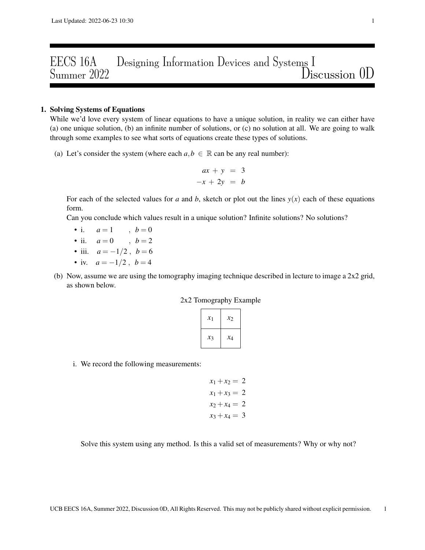## EECS 16A Designing Information Devices and Systems I<br>Summer 2022 Dis Discussion 0D

## 1. Solving Systems of Equations

While we'd love every system of linear equations to have a unique solution, in reality we can either have (a) one unique solution, (b) an infinite number of solutions, or (c) no solution at all. We are going to walk through some examples to see what sorts of equations create these types of solutions.

(a) Let's consider the system (where each  $a, b \in \mathbb{R}$  can be any real number):

$$
ax + y = 3
$$
  

$$
-x + 2y = b
$$

For each of the selected values for *a* and *b*, sketch or plot out the lines  $y(x)$  each of these equations form.

Can you conclude which values result in a unique solution? Infinite solutions? No solutions?

- i.  $a = 1$ ,  $b = 0$
- ii.  $a = 0$ ,  $b = 2$
- iii.  $a = -1/2$ ,  $b = 6$
- iv.  $a = -1/2$ ,  $b = 4$
- (b) Now, assume we are using the tomography imaging technique described in lecture to image a 2x2 grid, as shown below.

|  | 2x2 Tomography Example |  |  |  |
|--|------------------------|--|--|--|
|--|------------------------|--|--|--|

| $\mathcal{X}_1$ | $x_2$ |
|-----------------|-------|
| $x_3$           | $x_4$ |

i. We record the following measurements:

$$
x_1 + x_2 = 2
$$

$$
x_1 + x_3 = 2
$$

$$
x_2 + x_4 = 2
$$

$$
x_3 + x_4 = 3
$$

Solve this system using any method. Is this a valid set of measurements? Why or why not?